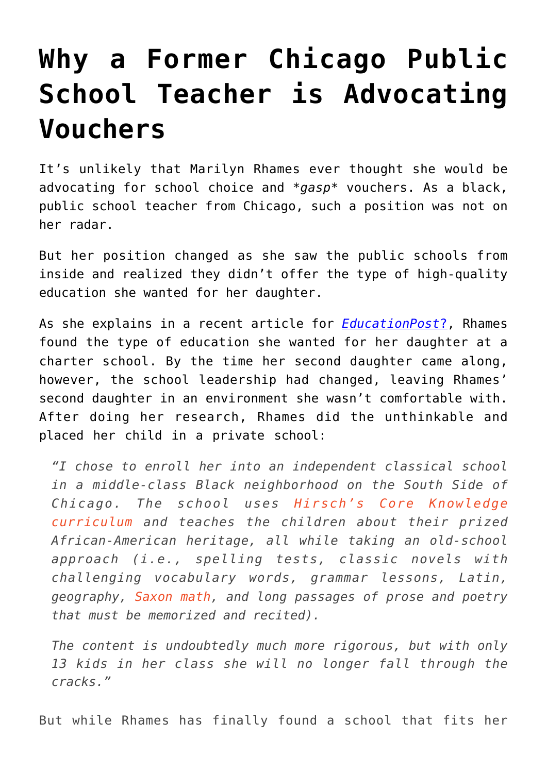## **[Why a Former Chicago Public](https://intellectualtakeout.org/2017/03/why-a-former-chicago-public-school-teacher-is-advocating-vouchers/) [School Teacher is Advocating](https://intellectualtakeout.org/2017/03/why-a-former-chicago-public-school-teacher-is-advocating-vouchers/) [Vouchers](https://intellectualtakeout.org/2017/03/why-a-former-chicago-public-school-teacher-is-advocating-vouchers/)**

It's unlikely that Marilyn Rhames ever thought she would be advocating for school choice and *\*gasp\** vouchers. As a black, public school teacher from Chicago, such a position was not on her radar.

But her position changed as she saw the public schools from inside and realized they didn't offer the type of high-quality education she wanted for her daughter.

As she explains in a recent article for *[EducationPost](http://educationpost.org/when-the-only-real-choice-is-private-my-unlikely-attraction-to-school-vouchers/)*[?](http://educationpost.org/when-the-only-real-choice-is-private-my-unlikely-attraction-to-school-vouchers/), Rhames found the type of education she wanted for her daughter at a charter school. By the time her second daughter came along, however, the school leadership had changed, leaving Rhames' second daughter in an environment she wasn't comfortable with. After doing her research, Rhames did the unthinkable and placed her child in a private school:

*"I chose to enroll her into an independent classical school in a middle-class Black neighborhood on the South Side of Chicago. The school uses [Hirsch's Core Knowledge](https://www.coreknowledge.org/curriculum/) [curriculum](https://www.coreknowledge.org/curriculum/) and teaches the children about their prized African-American heritage, all while taking an old-school approach (i.e., spelling tests, classic novels with challenging vocabulary words, grammar lessons, Latin, geography, [Saxon math,](http://www.hmhco.com/shop/education-curriculum/math/saxon-math#why-saxon-math-scope-and-sequence) and long passages of prose and poetry that must be memorized and recited).*

*The content is undoubtedly much more rigorous, but with only 13 kids in her class she will no longer fall through the cracks."*

But while Rhames has finally found a school that fits her